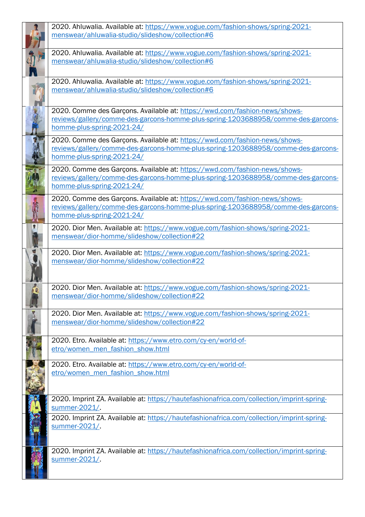| 2020. Ahluwalia. Available at: https://www.vogue.com/fashion-shows/spring-2021-<br>menswear/ahluwalia-studio/slideshow/collection#6                                                           |
|-----------------------------------------------------------------------------------------------------------------------------------------------------------------------------------------------|
| 2020. Ahluwalia. Available at: https://www.vogue.com/fashion-shows/spring-2021-<br>menswear/ahluwalia-studio/slideshow/collection#6                                                           |
| 2020. Ahluwalia. Available at: https://www.vogue.com/fashion-shows/spring-2021-<br>menswear/ahluwalia-studio/slideshow/collection#6                                                           |
| 2020. Comme des Garçons. Available at: https://wwd.com/fashion-news/shows-<br>reviews/gallery/comme-des-garcons-homme-plus-spring-1203688958/comme-des-garcons-<br>homme-plus-spring-2021-24/ |
| 2020. Comme des Garçons. Available at: https://wwd.com/fashion-news/shows-<br>reviews/gallery/comme-des-garcons-homme-plus-spring-1203688958/comme-des-garcons-<br>homme-plus-spring-2021-24/ |
| 2020. Comme des Garçons. Available at: https://wwd.com/fashion-news/shows-<br>reviews/gallery/comme-des-garcons-homme-plus-spring-1203688958/comme-des-garcons-<br>homme-plus-spring-2021-24/ |
| 2020. Comme des Garçons. Available at: https://wwd.com/fashion-news/shows-<br>reviews/gallery/comme-des-garcons-homme-plus-spring-1203688958/comme-des-garcons-<br>homme-plus-spring-2021-24/ |
| 2020. Dior Men. Available at: https://www.vogue.com/fashion-shows/spring-2021-<br>menswear/dior-homme/slideshow/collection#22                                                                 |
| 2020. Dior Men. Available at: https://www.vogue.com/fashion-shows/spring-2021-<br>menswear/dior-homme/slideshow/collection#22                                                                 |
| 2020. Dior Men. Available at: https://www.vogue.com/fashion-shows/spring-2021-<br>menswear/dior-homme/slideshow/collection#22                                                                 |
| 2020. Dior Men. Available at: https://www.vogue.com/fashion-shows/spring-2021-<br>menswear/dior-homme/slideshow/collection#22                                                                 |
| 2020. Etro. Available at: https://www.etro.com/cy-en/world-of-<br>etro/women_men_fashion_show.html                                                                                            |
| 2020. Etro. Available at: https://www.etro.com/cy-en/world-of-<br>etro/women men fashion show.html                                                                                            |
| 2020. Imprint ZA. Available at: https://hautefashionafrica.com/collection/imprint-spring-<br>summer-2021/.                                                                                    |
| 2020. Imprint ZA. Available at: https://hautefashionafrica.com/collection/imprint-spring-<br>summer-2021/                                                                                     |
| 2020. Imprint ZA. Available at: https://hautefashionafrica.com/collection/imprint-spring-<br>summer-2021/.                                                                                    |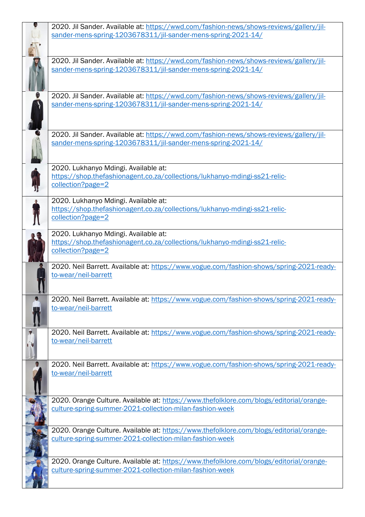| 2020. Jil Sander. Available at: https://wwd.com/fashion-news/shows-reviews/gallery/jil-  |
|------------------------------------------------------------------------------------------|
| sander-mens-spring-1203678311/jil-sander-mens-spring-2021-14/                            |
|                                                                                          |
| 2020. Jil Sander. Available at: https://wwd.com/fashion-news/shows-reviews/gallery/jil-  |
| sander-mens-spring-1203678311/jil-sander-mens-spring-2021-14/                            |
|                                                                                          |
| 2020. Jil Sander. Available at: https://wwd.com/fashion-news/shows-reviews/gallery/jil-  |
| sander-mens-spring-1203678311/jil-sander-mens-spring-2021-14/                            |
|                                                                                          |
|                                                                                          |
| 2020. Jil Sander. Available at: https://wwd.com/fashion-news/shows-reviews/gallery/jil-  |
| sander-mens-spring-1203678311/jil-sander-mens-spring-2021-14/                            |
|                                                                                          |
|                                                                                          |
| 2020. Lukhanyo Mdingi. Available at:                                                     |
| https://shop.thefashionagent.co.za/collections/lukhanyo-mdingi-ss21-relic-               |
| collection?page=2                                                                        |
|                                                                                          |
| 2020. Lukhanyo Mdingi. Available at:                                                     |
| https://shop.thefashionagent.co.za/collections/lukhanyo-mdingi-ss21-relic-               |
| collection?page=2                                                                        |
| 2020. Lukhanyo Mdingi. Available at:                                                     |
| https://shop.thefashionagent.co.za/collections/lukhanyo-mdingi-ss21-relic-               |
| collection?page=2                                                                        |
|                                                                                          |
| 2020. Neil Barrett. Available at: https://www.vogue.com/fashion-shows/spring-2021-ready- |
| to-wear/neil-barrett                                                                     |
|                                                                                          |
| 2020. Neil Barrett. Available at: https://www.vogue.com/fashion-shows/spring-2021-ready- |
| to-wear/neil-barrett                                                                     |
|                                                                                          |
|                                                                                          |
| 2020. Neil Barrett. Available at: https://www.vogue.com/fashion-shows/spring-2021-ready- |
| to-wear/neil-barrett                                                                     |
|                                                                                          |
| 2020. Neil Barrett. Available at: https://www.vogue.com/fashion-shows/spring-2021-ready- |
| to-wear/neil-barrett                                                                     |
|                                                                                          |
|                                                                                          |
| 2020. Orange Culture. Available at: https://www.thefolklore.com/blogs/editorial/orange-  |
| culture-spring-summer-2021-collection-milan-fashion-week                                 |
|                                                                                          |
|                                                                                          |
| 2020. Orange Culture. Available at: https://www.thefolklore.com/blogs/editorial/orange-  |
| culture-spring-summer-2021-collection-milan-fashion-week                                 |
|                                                                                          |
| 2020. Orange Culture. Available at: https://www.thefolklore.com/blogs/editorial/orange-  |
| culture-spring-summer-2021-collection-milan-fashion-week                                 |
|                                                                                          |
|                                                                                          |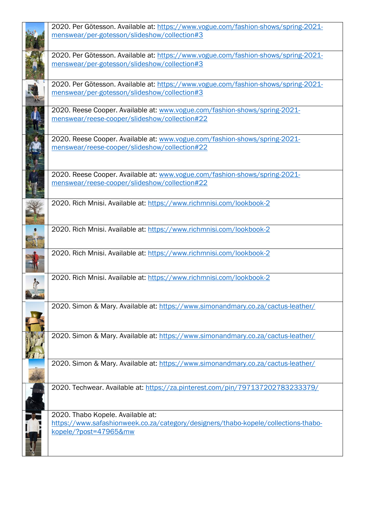| 2020. Per Götesson. Available at: https://www.vogue.com/fashion-shows/spring-2021- |
|------------------------------------------------------------------------------------|
| menswear/per-gotesson/slideshow/collection#3                                       |
|                                                                                    |
| 2020. Per Götesson. Available at: https://www.vogue.com/fashion-shows/spring-2021- |
| menswear/per-gotesson/slideshow/collection#3                                       |
|                                                                                    |
| 2020. Per Götesson. Available at: https://www.vogue.com/fashion-shows/spring-2021- |
| menswear/per-gotesson/slideshow/collection#3                                       |
| 2020. Reese Cooper. Available at: www.vogue.com/fashion-shows/spring-2021-         |
| menswear/reese-cooper/slideshow/collection#22                                      |
| 2020. Reese Cooper. Available at: www.vogue.com/fashion-shows/spring-2021-         |
| menswear/reese-cooper/slideshow/collection#22                                      |
|                                                                                    |
| 2020. Reese Cooper. Available at: www.vogue.com/fashion-shows/spring-2021-         |
| menswear/reese-cooper/slideshow/collection#22                                      |
|                                                                                    |
| 2020. Rich Mnisi. Available at: https://www.richmnisi.com/lookbook-2               |
|                                                                                    |
|                                                                                    |
| 2020. Rich Mnisi. Available at: https://www.richmnisi.com/lookbook-2               |
|                                                                                    |
|                                                                                    |
| 2020. Rich Mnisi. Available at: https://www.richmnisi.com/lookbook-2               |
|                                                                                    |
| 2020. Rich Mnisi. Available at: https://www.richmnisi.com/lookbook-2               |
|                                                                                    |
|                                                                                    |
|                                                                                    |
| 2020. Simon & Mary. Available at: https://www.simonandmary.co.za/cactus-leather/   |
|                                                                                    |
|                                                                                    |
| 2020. Simon & Mary. Available at: https://www.simonandmary.co.za/cactus-leather/   |
|                                                                                    |
|                                                                                    |
| 2020. Simon & Mary. Available at: https://www.simonandmary.co.za/cactus-leather/   |
|                                                                                    |
|                                                                                    |
| 2020. Techwear. Available at: https://za.pinterest.com/pin/797137202783233379/     |
|                                                                                    |
|                                                                                    |
| 2020. Thabo Kopele. Available at:                                                  |
| https://www.safashionweek.co.za/category/designers/thabo-kopele/collections-thabo- |
| kopele/?post=47965&mw                                                              |
|                                                                                    |
|                                                                                    |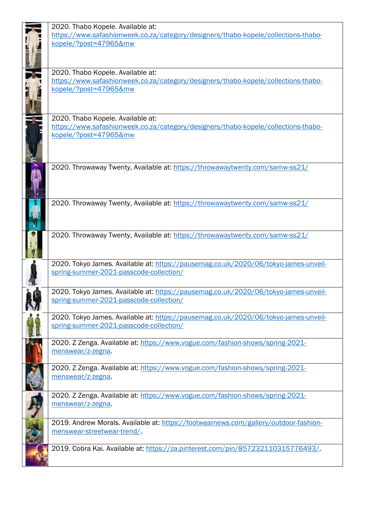| 2020. Thabo Kopele. Available at:                                                    |
|--------------------------------------------------------------------------------------|
| https://www.safashionweek.co.za/category/designers/thabo-kopele/collections-thabo-   |
| kopele/?post=47965&mw                                                                |
|                                                                                      |
|                                                                                      |
|                                                                                      |
| 2020. Thabo Kopele. Available at:                                                    |
| https://www.safashionweek.co.za/category/designers/thabo-kopele/collections-thabo-   |
| kopele/?post=47965&mw                                                                |
|                                                                                      |
|                                                                                      |
|                                                                                      |
| 2020. Thabo Kopele. Available at:                                                    |
| https://www.safashionweek.co.za/category/designers/thabo-kopele/collections-thabo-   |
| kopele/?post=47965&mw                                                                |
|                                                                                      |
|                                                                                      |
|                                                                                      |
| 2020. Throwaway Twenty, Available at: https://throwawaytwenty.com/samw-ss21/         |
|                                                                                      |
|                                                                                      |
|                                                                                      |
|                                                                                      |
| 2020. Throwaway Twenty, Available at: https://throwawaytwenty.com/samw-ss21/         |
|                                                                                      |
|                                                                                      |
|                                                                                      |
| 2020. Throwaway Twenty, Available at: https://throwawaytwenty.com/samw-ss21/         |
|                                                                                      |
|                                                                                      |
|                                                                                      |
| 2020. Tokyo James. Available at: https://pausemag.co.uk/2020/06/tokyo-james-unveil-  |
| spring-summer-2021-passcode-collection/                                              |
|                                                                                      |
| 2020. Tokyo James. Available at: https://pausemag.co.uk/2020/06/tokyo-james-unveil-  |
| spring-summer-2021-passcode-collection/                                              |
|                                                                                      |
| 2020. Tokyo James. Available at: https://pausemag.co.uk/2020/06/tokyo-james-unveil-  |
| spring-summer-2021-passcode-collection/                                              |
|                                                                                      |
|                                                                                      |
| 2020. Z Zenga. Available at: https://www.vogue.com/fashion-shows/spring-2021-        |
| menswear/z-zegna.                                                                    |
|                                                                                      |
| 2020. Z Zenga. Available at: https://www.vogue.com/fashion-shows/spring-2021-        |
| menswear/z-zegna.                                                                    |
|                                                                                      |
| 2020. Z Zenga. Available at: https://www.vogue.com/fashion-shows/spring-2021-        |
| menswear/z-zegna.                                                                    |
|                                                                                      |
|                                                                                      |
| 2019. Andrew Morals. Available at: https://footwearnews.com/gallery/outdoor-fashion- |
| menswear-streetwear-trend/.                                                          |
|                                                                                      |
| 2019. Cobra Kai. Available at: https://za.pinterest.com/pin/857232110315776493/.     |
|                                                                                      |
|                                                                                      |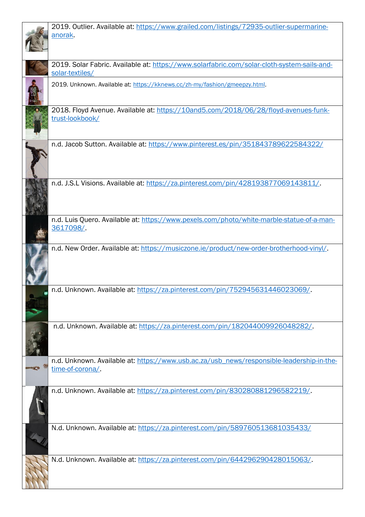| 2019. Outlier. Available at: https://www.grailed.com/listings/72935-outlier-supermarine-                       |
|----------------------------------------------------------------------------------------------------------------|
| anorak.                                                                                                        |
|                                                                                                                |
|                                                                                                                |
| 2019. Solar Fabric. Available at: https://www.solarfabric.com/solar-cloth-system-sails-and-<br>solar-textiles/ |
| 2019. Unknown. Available at: https://kknews.cc/zh-my/fashion/gmeepzy.html.                                     |
|                                                                                                                |
| 2018. Floyd Avenue. Available at: https://10and5.com/2018/06/28/floyd-avenues-funk-                            |
| trust-lookbook/                                                                                                |
| n.d. Jacob Sutton. Available at: https://www.pinterest.es/pin/351843789622584322/                              |
|                                                                                                                |
| n.d. J.S.L Visions. Available at: https://za.pinterest.com/pin/428193877069143811/.                            |
|                                                                                                                |
| n.d. Luis Quero. Available at: https://www.pexels.com/photo/white-marble-statue-of-a-man-                      |
| 3617098/                                                                                                       |
| n.d. New Order. Available at: https://musiczone.ie/product/new-order-brotherhood-vinyl/.                       |
|                                                                                                                |
|                                                                                                                |
|                                                                                                                |
| n.d. Unknown. Available at: https://za.pinterest.com/pin/752945631446023069/.                                  |
|                                                                                                                |
|                                                                                                                |
|                                                                                                                |
| n.d. Unknown. Available at: https://za.pinterest.com/pin/182044009926048282/.                                  |
|                                                                                                                |
|                                                                                                                |
| n.d. Unknown. Available at: https://www.usb.ac.za/usb_news/responsible-leadership-in-the-                      |
| time-of-corona/                                                                                                |
|                                                                                                                |
| n.d. Unknown. Available at: https://za.pinterest.com/pin/830280881296582219/.                                  |
|                                                                                                                |
|                                                                                                                |
| N.d. Unknown. Available at: https://za.pinterest.com/pin/589760513681035433/                                   |
|                                                                                                                |
|                                                                                                                |
|                                                                                                                |
| N.d. Unknown. Available at: https://za.pinterest.com/pin/644296290428015063/.                                  |
|                                                                                                                |
|                                                                                                                |